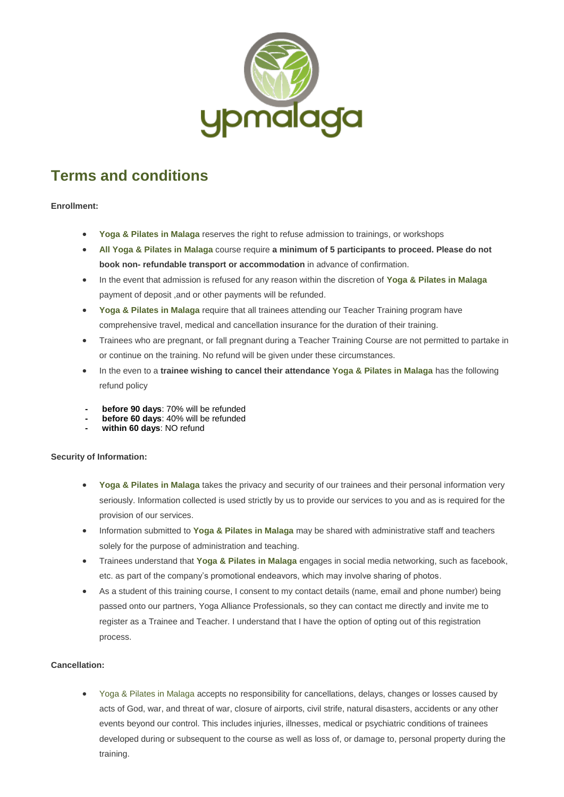

# **Terms and conditions**

## **Enrollment:**

- **Yoga & Pilates in Malaga** reserves the right to refuse admission to trainings, or workshops
- **All Yoga & Pilates in Malaga** course require **a minimum of 5 participants to proceed. Please do not book non- refundable transport or accommodation** in advance of confirmation.
- In the event that admission is refused for any reason within the discretion of **Yoga & Pilates in Malaga** payment of deposit ,and or other payments will be refunded.
- **Yoga & Pilates in Malaga** require that all trainees attending our Teacher Training program have comprehensive travel, medical and cancellation insurance for the duration of their training.
- Trainees who are pregnant, or fall pregnant during a Teacher Training Course are not permitted to partake in or continue on the training. No refund will be given under these circumstances.
- In the even to a **trainee wishing to cancel their attendance Yoga & Pilates in Malaga** has the following refund policy
- **- before 90 days**: 70% will be refunded
- **- before 60 days**: 40% will be refunded
- **- within 60 days**: NO refund

## **Security of Information:**

- **Yoga & Pilates in Malaga** takes the privacy and security of our trainees and their personal information very seriously. Information collected is used strictly by us to provide our services to you and as is required for the provision of our services.
- Information submitted to **Yoga & Pilates in Malaga** may be shared with administrative staff and teachers solely for the purpose of administration and teaching.
- Trainees understand that **Yoga & Pilates in Malaga** engages in social media networking, such as facebook, etc. as part of the company's promotional endeavors, which may involve sharing of photos.
- As a student of this training course, I consent to my contact details (name, email and phone number) being passed onto our partners, Yoga Alliance Professionals, so they can contact me directly and invite me to register as a Trainee and Teacher. I understand that I have the option of opting out of this registration process.

## **Cancellation:**

• Yoga & Pilates in Malaga accepts no responsibility for cancellations, delays, changes or losses caused by acts of God, war, and threat of war, closure of airports, civil strife, natural disasters, accidents or any other events beyond our control. This includes injuries, illnesses, medical or psychiatric conditions of trainees developed during or subsequent to the course as well as loss of, or damage to, personal property during the training.